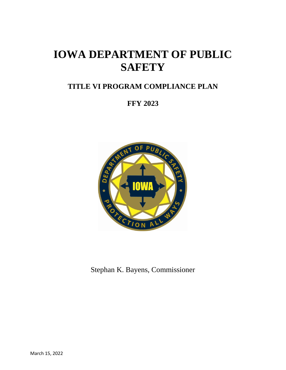# **IOWA DEPARTMENT OF PUBLIC SAFETY**

# **TITLE VI PROGRAM COMPLIANCE PLAN**

**FFY 2023**



Stephan K. Bayens, Commissioner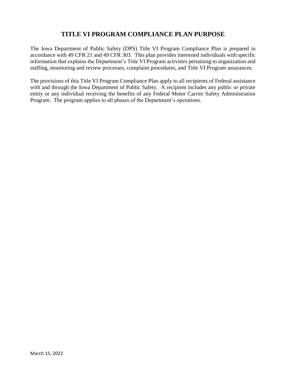## **TITLE VI PROGRAM COMPLIANCE PLAN PURPOSE**

The Iowa Department of Public Safety (DPS) Title VI Program Compliance Plan is prepared in accordance with 49 CFR 21 and 49 CFR 303. This plan provides interested individuals with specific information that explains the Department's Title VI Program activities pertaining to organization and staffing, monitoring and review processes, complaint procedures, and Title VI Program assurances.

The provisions of this Title VI Program Compliance Plan apply to all recipients of Federal assistance with and through the Iowa Department of Public Safety. A recipient includes any public or private entity or any individual receiving the benefits of any Federal Motor Carrier Safety Administration Program. The program applies to all phases of the Department's operations.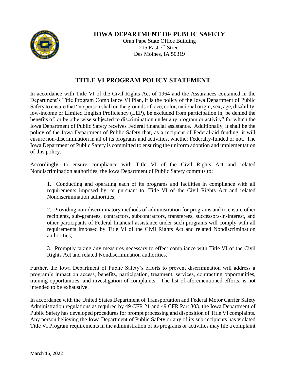

## **IOWA DEPARTMENT OF PUBLIC SAFETY**

Oran Pape State Office Building  $215$  East  $7<sup>th</sup>$  Street Des Moines, IA 50319

## **TITLE VI PROGRAM POLICY STATEMENT**

In accordance with Title VI of the Civil Rights Act of 1964 and the Assurances contained in the Department's Title Program Compliance VI Plan, it is the policy of the Iowa Department of Public Safety to ensure that "no person shall on the grounds of race, color, national origin, sex, age, disability, low-income or Limited English Proficiency (LEP), be excluded from participation in, be denied the benefits of, or be otherwise subjected to discrimination under any program or activity" for which the Iowa Department of Public Safety receives Federal financial assistance. Additionally, it shall be the policy of the Iowa Department of Public Safety that, as a recipient of Federal-aid funding, it will ensure non-discrimination in all of its programs and activities, whether Federally-funded or not. The Iowa Department of Public Safety is committed to ensuring the uniform adoption and implementation of this policy.

Accordingly, to ensure compliance with Title VI of the Civil Rights Act and related Nondiscrimination authorities, the Iowa Department of Public Safety commits to:

1. Conducting and operating each of its programs and facilities in compliance with all requirements imposed by, or pursuant to, Title VI of the Civil Rights Act and related Nondiscrimination authorities;

2. Providing non-discriminatory methods of administration for programs and to ensure other recipients, sub-grantees, contractors, subcontractors, transferees, successors-in-interest, and other participants of Federal financial assistance under such programs will comply with all requirements imposed by Title VI of the Civil Rights Act and related Nondiscrimination authorities;

3. Promptly taking any measures necessary to effect compliance with Title VI of the Civil Rights Act and related Nondiscrimination authorities.

Further, the Iowa Department of Public Safety's efforts to prevent discrimination will address a program's impact on access, benefits, participation, treatment, services, contracting opportunities, training opportunities, and investigation of complaints. The list of aforementioned efforts, is not intended to be exhaustive.

In accordance with the United States Department of Transportation and Federal Motor Carrier Safety Administration regulations as required by 49 CFR 21 and 49 CFR Part 303, the Iowa Department of Public Safety has developed procedures for prompt processing and disposition of Title VI complaints. Any person believing the Iowa Department of Public Safety or any of its sub-recipients has violated Title VI Program requirements in the administration of its programs or activities may file a complaint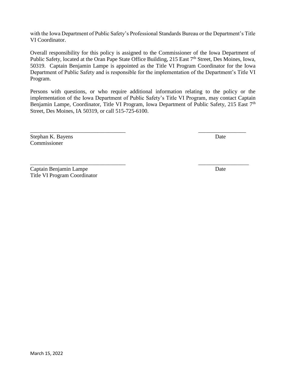with the Iowa Department of Public Safety's Professional Standards Bureau or the Department's Title VI Coordinator.

Overall responsibility for this policy is assigned to the Commissioner of the Iowa Department of Public Safety, located at the Oran Pape State Office Building, 215 East 7<sup>th</sup> Street, Des Moines, Iowa, 50319. Captain Benjamin Lampe is appointed as the Title VI Program Coordinator for the Iowa Department of Public Safety and is responsible for the implementation of the Department's Title VI Program.

Persons with questions, or who require additional information relating to the policy or the implementation of the Iowa Department of Public Safety's Title VI Program, may contact Captain Benjamin Lampe, Coordinator, Title VI Program, Iowa Department of Public Safety, 215 East 7<sup>th</sup> Street, Des Moines, IA 50319, or call 515-725-6100.

\_\_\_\_\_\_\_\_\_\_\_\_\_\_\_\_\_\_\_\_\_\_\_\_\_\_\_\_\_\_\_\_\_\_ \_\_\_\_\_\_\_\_\_\_\_\_\_\_\_\_\_

\_\_\_\_\_\_\_\_\_\_\_\_\_\_\_\_\_\_\_\_\_\_\_\_\_\_\_\_\_\_\_\_\_\_ \_\_\_\_\_\_\_\_\_\_\_\_\_\_\_\_\_\_

Stephan K. Bayens Date Commissioner

Captain Benjamin Lampe Title VI Program Coordinator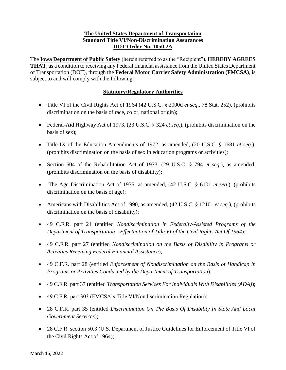#### **The United States Department of Transportation Standard Title VI/Non-Discrimination Assurances DOT Order No. 1050.2A**

The **Iowa Department of Public Safety** (herein referred to as the "Recipient"), **HEREBY AGREES THAT**, as a condition to receiving any Federal financial assistance from the United States Department of Transportation (DOT), through the **Federal Motor Carrier Safety Administration (FMCSA)**, is subject to and will comply with the following:

#### **Statutory/Regulatory Authorities**

- Title VI of the Civil Rights Act of 1964 (42 U.S.C. § 2000d *et seq*., 78 Stat. 252), (prohibits discrimination on the basis of race, color, national origin);
- Federal-Aid Highway Act of 1973, (23 U.S.C. § 324 *et seq*.), (prohibits discrimination on the basis of sex);
- Title IX of the Education Amendments of 1972, as amended, (20 U.S.C. § 1681 *et seq*.), (prohibits discrimination on the basis of sex in education programs or activities);
- Section 504 of the Rehabilitation Act of 1973, (29 U.S.C. § 794 *et seq*.), as amended, (prohibits discrimination on the basis of disability);
- The Age Discrimination Act of 1975, as amended, (42 U.S.C. § 6101 *et seq*.), (prohibits discrimination on the basis of age);
- Americans with Disabilities Act of 1990, as amended, (42 U.S.C. § 12101 *et seq*.), (prohibits discrimination on the basis of disability);
- 49 C.F.R. part 21 (entitled *Nondiscrimination in Federally-Assisted Programs of the Department of Transportation—Effectuation of Title VI of the Civil Rights Act Of 1964*);
- 49 C.F.R. part 27 (entitled *Nondiscrimination on the Basis of Disability in Programs or Activities Receiving Federal Financial Assistance*);
- 49 C.F.R. part 28 (entitled *Enforcement of Nondiscrimination on the Basis of Handicap in Programs or Activities Conducted by the Department of Transportation*);
- 49 C.F.R. part 37 (entitled *Transportation Services For Individuals With Disabilities (ADA)*);
- 49 C.F.R. part 303 (FMCSA's Title VI/Nondiscrimination Regulation);
- 28 C.F.R. part 35 (entitled *Discrimination On The Basis Of Disability In State And Local Government Services*);
- 28 C.F.R. section 50.3 (U.S. Department of Justice Guidelines for Enforcement of Title VI of the Civil Rights Act of 1964);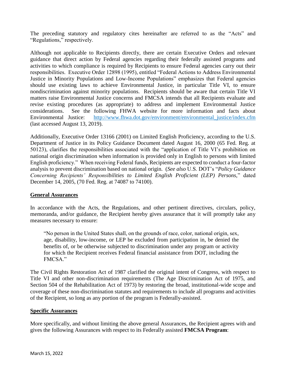The preceding statutory and regulatory cites hereinafter are referred to as the "Acts" and "Regulations," respectively.

Although not applicable to Recipients directly, there are certain Executive Orders and relevant guidance that direct action by Federal agencies regarding their federally assisted programs and activities to which compliance is required by Recipients to ensure Federal agencies carry out their responsibilities. Executive Order 12898 (1995), entitled "Federal Actions to Address Environmental Justice in Minority Populations and Low-Income Populations" emphasizes that Federal agencies should use existing laws to achieve Environmental Justice, in particular Title VI, to ensure nondiscrimination against minority populations. Recipients should be aware that certain Title VI matters raise Environmental Justice concerns and FMCSA intends that all Recipients evaluate and revise existing procedures (as appropriate) to address and implement Environmental Justice considerations. See the following FHWA website for more information and facts about Environmental Justice: [http://www.fhwa.dot.gov/environment/environmental\\_justice/index.cfm](http://www.fhwa.dot.gov/environment/environmental_justice/index.cfm) (last accessed August 13, 2019).

Additionally, Executive Order 13166 (2001) on Limited English Proficiency, according to the U.S. Department of Justice in its Policy Guidance Document dated August 16, 2000 (65 Fed. Reg. at 50123), clarifies the responsibilities associated with the "application of Title VI's prohibition on national origin discrimination when information is provided only in English to persons with limited English proficiency." When receiving Federal funds, Recipients are expected to conduct a four-factor analysis to prevent discrimination based on national origin. (*See also* U.S. DOT's "*Policy Guidance Concerning Recipients' Responsibilities to Limited English Proficient (LEP) Persons,*" dated December 14, 2005, (70 Fed. Reg. at 74087 to 74100).

#### **General Assurances**

In accordance with the Acts, the Regulations, and other pertinent directives, circulars, policy, memoranda, and/or guidance, the Recipient hereby gives assurance that it will promptly take any measures necessary to ensure:

"No person in the United States shall, on the grounds of race, color, national origin, sex, age, disability, low-income, or LEP be excluded from participation in, be denied the benefits of, or be otherwise subjected to discrimination under any program or activity for which the Recipient receives Federal financial assistance from DOT, including the FMCSA."

The Civil Rights Restoration Act of 1987 clarified the original intent of Congress, with respect to Title VI and other non-discrimination requirements (The Age Discrimination Act of 1975, and Section 504 of the Rehabilitation Act of 1973) by restoring the broad, institutional-wide scope and coverage of these non-discrimination statutes and requirements to include all programs and activities of the Recipient, so long as any portion of the program is Federally-assisted.

#### **Specific Assurances**

More specifically, and without limiting the above general Assurances, the Recipient agrees with and gives the following Assurances with respect to its Federally assisted **FMCSA Program**: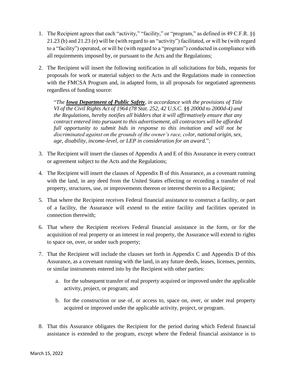- 1. The Recipient agrees that each "activity," "facility," or "program," as defined in 49 C.F.R. §§ 21.23 (b) and 21.23 (e) will be (with regard to an "activity") facilitated, or will be (with regard to a "facility") operated, or will be (with regard to a "program") conducted in compliance with all requirements imposed by, or pursuant to the Acts and the Regulations;
- 2. The Recipient will insert the following notification in all solicitations for bids, requests for proposals for work or material subject to the Acts and the Regulations made in connection with the FMCSA Program and, in adapted form, in all proposals for negotiated agreements regardless of funding source:

"*The Iowa Department of Public Safety, in accordance with the provisions of Title VI of the Civil Rights Act of 1964 (78 Stat. 252, 42 U.S.C. §§ 2000d to 2000d-4) and the Regulations, hereby notifies all bidders that it will affirmatively ensure that any contract entered into pursuant to this advertisement, all contractors will be afforded full opportunity to submit bids in response to this invitation and will not be discriminated against on the grounds of the owner's race, color, national origin, sex, age, disability, income-level, or LEP in consideration for an award.*";

- 3. The Recipient will insert the clauses of Appendix A and E of this Assurance in every contract or agreement subject to the Acts and the Regulations;
- 4. The Recipient will insert the clauses of Appendix B of this Assurance, as a covenant running with the land, in any deed from the United States effecting or recording a transfer of real property, structures, use, or improvements thereon or interest therein to a Recipient;
- 5. That where the Recipient receives Federal financial assistance to construct a facility, or part of a facility, the Assurance will extend to the entire facility and facilities operated in connection therewith;
- 6. That where the Recipient receives Federal financial assistance in the form, or for the acquisition of real property or an interest in real property, the Assurance will extend to rights to space on, over, or under such property;
- 7. That the Recipient will include the clauses set forth in Appendix C and Appendix D of this Assurance, as a covenant running with the land, in any future deeds, leases, licenses, permits, or similar instruments entered into by the Recipient with other parties:
	- a. for the subsequent transfer of real property acquired or improved under the applicable activity, project, or program; and
	- b. for the construction or use of, or access to, space on, over, or under real property acquired or improved under the applicable activity, project, or program.
- 8. That this Assurance obligates the Recipient for the period during which Federal financial assistance is extended to the program, except where the Federal financial assistance is to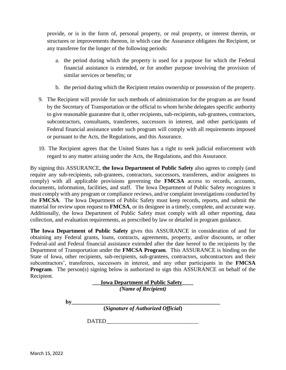provide, or is in the form of, personal property, or real property, or interest therein, or structures or improvements thereon, in which case the Assurance obligates the Recipient, or any transferee for the longer of the following periods:

- a. the period during which the property is used for a purpose for which the Federal financial assistance is extended, or for another purpose involving the provision of similar services or benefits; or
- b. the period during which the Recipient retains ownership or possession of the property.
- 9. The Recipient will provide for such methods of administration for the program as are found by the Secretary of Transportation or the official to whom he/she delegates specific authority to give reasonable guarantee that it, other recipients, sub-recipients, sub-grantees, contractors, subcontractors, consultants, transferees, successors in interest, and other participants of Federal financial assistance under such program will comply with all requirements imposed or pursuant to the Acts, the Regulations, and this Assurance.
- 10. The Recipient agrees that the United States has a right to seek judicial enforcement with regard to any matter arising under the Acts, the Regulations, and this Assurance.

By signing this ASSURANCE, **the Iowa Department of Public Safety** also agrees to comply (and require any sub-recipients, sub-grantees, contractors, successors, transferees, and/or assignees to comply) with all applicable provisions governing the **FMCSA** access to records, accounts, documents, information, facilities, and staff. The Iowa Department of Public Safety recognizes it must comply with any program or compliance reviews, and/or complaint investigations conducted by the **FMCSA**. The Iowa Department of Public Safety must keep records, reports, and submit the material for review upon request to **FMCSA**, or its designee in a timely, complete, and accurate way. Additionally, the Iowa Department of Public Safety must comply with all other reporting, data collection, and evaluation requirements, as prescribed by law or detailed in program guidance.

**The Iowa Department of Public Safety** gives this ASSURANCE in consideration of and for obtaining any Federal grants, loans, contracts, agreements, property, and/or discounts, or other Federal-aid and Federal financial assistance extended after the date hereof to the recipients by the Department of Transportation under the **FMCSA Program**. This ASSURANCE is binding on the State of Iowa, other recipients, sub-recipients, sub-grantees, contractors, subcontractors and their subcontractors', transferees, successors in interest, and any other participants in the **FMCSA Program.** The person(s) signing below is authorized to sign this ASSURANCE on behalf of the Recipient.

> **\_\_\_Iowa Department of Public Safety\_\_\_\_** *(Name of Recipient)*

**by\_\_\_\_\_\_\_\_\_\_\_\_\_\_\_\_\_\_\_\_\_\_\_\_\_\_\_\_\_\_\_\_\_\_\_\_\_\_\_\_\_\_\_\_\_\_\_\_\_\_\_\_\_**

**(***Signature of Authorized Official***)**

DATED\_\_\_\_\_\_\_\_\_\_\_\_\_\_\_\_\_\_\_\_\_\_\_\_\_\_\_\_\_\_\_\_\_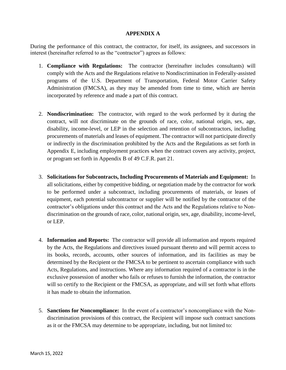#### **APPENDIX A**

During the performance of this contract, the contractor, for itself, its assignees, and successors in interest (hereinafter referred to as the "contractor") agrees as follows:

- 1. **Compliance with Regulations:** The contractor (hereinafter includes consultants) will comply with the Acts and the Regulations relative to Nondiscrimination in Federally-assisted programs of the U.S. Department of Transportation, Federal Motor Carrier Safety Administration (FMCSA), as they may be amended from time to time, which are herein incorporated by reference and made a part of this contract.
- 2. **Nondiscrimination:** The contractor, with regard to the work performed by it during the contract, will not discriminate on the grounds of race, color, national origin, sex, age, disability, income-level, or LEP in the selection and retention of subcontractors, including procurements of materials and leases of equipment. The contractor will not participate directly or indirectly in the discrimination prohibited by the Acts and the Regulations as set forth in Appendix E, including employment practices when the contract covers any activity, project, or program set forth in Appendix B of 49 C.F.R. part 21.
- 3. **Solicitations for Subcontracts, Including Procurements of Materials and Equipment:** In all solicitations, either by competitive bidding, or negotiation made by the contractor for work to be performed under a subcontract, including procurements of materials, or leases of equipment, each potential subcontractor or supplier will be notified by the contractor of the contractor's obligations under this contract and the Acts and the Regulations relative to Nondiscrimination on the grounds of race, color, national origin, sex, age, disability, income-level, or LEP.
- 4. **Information and Reports:** The contractor will provide all information and reports required by the Acts, the Regulations and directives issued pursuant thereto and will permit access to its books, records, accounts, other sources of information, and its facilities as may be determined by the Recipient or the FMCSA to be pertinent to ascertain compliance with such Acts, Regulations, and instructions. Where any information required of a contractor is in the exclusive possession of another who fails or refuses to furnish the information, the contractor will so certify to the Recipient or the FMCSA, as appropriate, and will set forth what efforts it has made to obtain the information.
- 5. **Sanctions for Noncompliance:** In the event of a contractor's noncompliance with the Nondiscrimination provisions of this contract, the Recipient will impose such contract sanctions as it or the FMCSA may determine to be appropriate, including, but not limited to: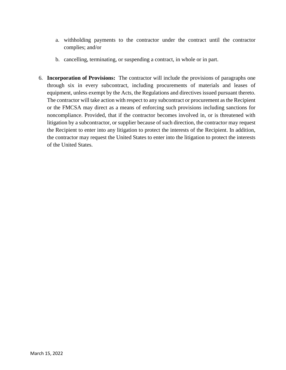- a. withholding payments to the contractor under the contract until the contractor complies; and/or
- b. cancelling, terminating, or suspending a contract, in whole or in part.
- 6. **Incorporation of Provisions:** The contractor will include the provisions of paragraphs one through six in every subcontract, including procurements of materials and leases of equipment, unless exempt by the Acts, the Regulations and directives issued pursuant thereto. The contractor will take action with respect to any subcontract or procurement as the Recipient or the FMCSA may direct as a means of enforcing such provisions including sanctions for noncompliance. Provided, that if the contractor becomes involved in, or is threatened with litigation by a subcontractor, or supplier because of such direction, the contractor may request the Recipient to enter into any litigation to protect the interests of the Recipient. In addition, the contractor may request the United States to enter into the litigation to protect the interests of the United States.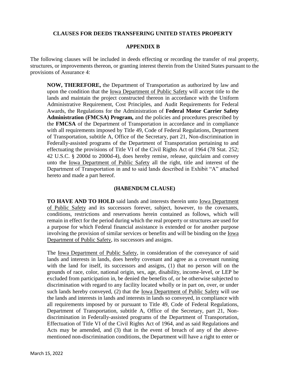#### **CLAUSES FOR DEEDS TRANSFERING UNITED STATES PROPERTY**

#### **APPENDIX B**

The following clauses will be included in deeds effecting or recording the transfer of real property, structures, or improvements thereon, or granting interest therein from the United States pursuant to the provisions of Assurance 4:

**NOW, THEREFORE,** the Department of Transportation as authorized by law and upon the condition that the Iowa Department of Public Safety will accept title to the lands and maintain the project constructed thereon in accordance with the Uniform Administrative Requirement, Cost Principles, and Audit Requirements for Federal Awards, the Regulations for the Administration of **Federal Motor Carrier Safety Administration (FMCSA) Program,** and the policies and procedures prescribed by the **FMCSA** of the Department of Transportation in accordance and in compliance with all requirements imposed by Title 49, Code of Federal Regulations, Department of Transportation, subtitle A, Office of the Secretary, part 21, Non-discrimination in Federally-assisted programs of the Department of Transportation pertaining to and effectuating the provisions of Title VI of the Civil Rights Act of 1964 (78 Stat. 252; 42 U.S.C. § 2000d to 2000d-4), does hereby remise, release, quitclaim and convey unto the Iowa Department of Public Safety all the right, title and interest of the Department of Transportation in and to said lands described in Exhibit "A" attached hereto and made a part hereof.

#### **(HABENDUM CLAUSE)**

**TO HAVE AND TO HOLD** said lands and interests therein unto Iowa Department of Public Safety and its successors forever, subject, however, to the covenants, conditions, restrictions and reservations herein contained as follows, which will remain in effect for the period during which the real property or structures are used for a purpose for which Federal financial assistance is extended or for another purpose involving the provision of similar services or benefits and will be binding on the Iowa Department of Public Safety, its successors and assigns.

The Iowa Department of Public Safety, in consideration of the conveyance of said lands and interests in lands, does hereby covenant and agree as a covenant running with the land for itself, its successors and assigns, (1) that no person will on the grounds of race, color, national origin, sex, age, disability, income-level, or LEP be excluded from participation in, be denied the benefits of, or be otherwise subjected to discrimination with regard to any facility located wholly or in part on, over, or under such lands hereby conveyed, (2) that the Iowa Department of Public Safety will use the lands and interests in lands and interests in lands so conveyed, in compliance with all requirements imposed by or pursuant to Title 49, Code of Federal Regulations, Department of Transportation, subtitle A, Office of the Secretary, part 21, Nondiscrimination in Federally-assisted programs of the Department of Transportation, Effectuation of Title VI of the Civil Rights Act of 1964, and as said Regulations and Acts may be amended, and (3) that in the event of breach of any of the abovementioned non-discrimination conditions, the Department will have a right to enter or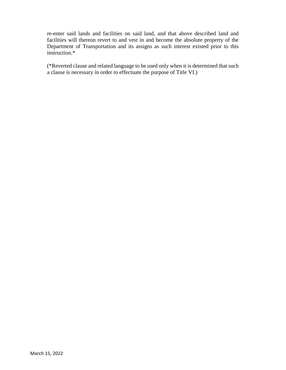re-enter said lands and facilities on said land, and that above described land and facilities will thereon revert to and vest in and become the absolute property of the Department of Transportation and its assigns as such interest existed prior to this instruction.\*

(\*Reverted clause and related language to be used only when it is determined that such a clause is necessary in order to effectuate the purpose of Title VI.)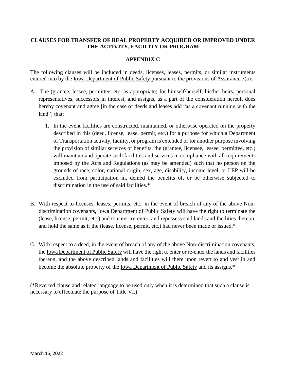#### **CLAUSES FOR TRANSFER OF REAL PROPERTY ACQUIRED OR IMPROVED UNDER THE ACTIVITY, FACILITY OR PROGRAM**

#### **APPENDIX C**

The following clauses will be included in deeds, licenses, leases, permits, or similar instruments entered into by the <u>Iowa Department of Public Safety</u> pursuant to the provisions of Assurance 7(a):

- A. The (grantee, lessee, permittee, etc. as appropriate) for himself/herself, his/her heirs, personal representatives, successors in interest, and assigns, as a part of the consideration hereof, does hereby covenant and agree [in the case of deeds and leases add "as a covenant running with the land"] that:
	- 1. In the event facilities are constructed, maintained, or otherwise operated on the property described in this (deed, license, lease, permit, etc.) for a purpose for which a Department of Transportation activity, facility, or program is extended or for another purpose involving the provision of similar services or benefits, the (grantee, licensee, lessee, permittee, etc.) will maintain and operate such facilities and services in compliance with all requirements imposed by the Acts and Regulations (as may be amended) such that no person on the grounds of race, color, national origin, sex, age, disability, income-level, or LEP will be excluded from participation in, denied the benefits of, or be otherwise subjected to discrimination in the use of said facilities.\*
- B. With respect to licenses, leases, permits, etc., in the event of breach of any of the above Nondiscrimination covenants, Iowa Department of Public Safety will have the right to terminate the (lease, license, permit, etc.) and to enter, re-enter, and repossess said lands and facilities thereon, and hold the same as if the (lease, license, permit, etc.) had never been made or issued.\*
- C. With respect to a deed, in the event of breach of any of the above Non-discrimination covenants, the Iowa Department of Public Safety will have the right to enter or re-enter the lands and facilities thereon, and the above described lands and facilities will there upon revert to and vest in and become the absolute property of the Iowa Department of Public Safety and its assigns.\*

(\*Reverted clause and related language to be used only when it is determined that such a clause is necessary to effectuate the purpose of Title VI.)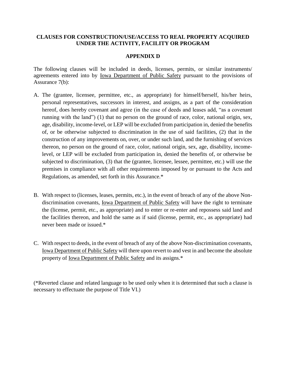#### **CLAUSES FOR CONSTRUCTION/USE/ACCESS TO REAL PROPERTY ACQUIRED UNDER THE ACTIVITY, FACILITY OR PROGRAM**

#### **APPENDIX D**

The following clauses will be included in deeds, licenses, permits, or similar instruments/ agreements entered into by Iowa Department of Public Safety pursuant to the provisions of Assurance 7(b):

- A. The (grantee, licensee, permittee, etc., as appropriate) for himself/herself, his/her heirs, personal representatives, successors in interest, and assigns, as a part of the consideration hereof, does hereby covenant and agree (in the case of deeds and leases add, "as a covenant running with the land") (1) that no person on the ground of race, color, national origin, sex, age, disability, income-level, or LEP will be excluded from participation in, denied the benefits of, or be otherwise subjected to discrimination in the use of said facilities, (2) that in the construction of any improvements on, over, or under such land, and the furnishing of services thereon, no person on the ground of race, color, national origin, sex, age, disability, incomelevel, or LEP will be excluded from participation in, denied the benefits of, or otherwise be subjected to discrimination, (3) that the (grantee, licensee, lessee, permittee, etc.) will use the premises in compliance with all other requirements imposed by or pursuant to the Acts and Regulations, as amended, set forth in this Assurance.\*
- B. With respect to (licenses, leases, permits, etc.), in the event of breach of any of the above Nondiscrimination covenants, <u>Iowa Department of Public Safety</u> will have the right to terminate the (license, permit, etc., as appropriate) and to enter or re-enter and repossess said land and the facilities thereon, and hold the same as if said (license, permit, etc., as appropriate) had never been made or issued.\*
- C. With respect to deeds, in the event of breach of any of the above Non-discrimination covenants, Iowa Department of Public Safety will there upon revert to and vest in and become the absolute property of Iowa Department of Public Safety and its assigns.\*

(\*Reverted clause and related language to be used only when it is determined that such a clause is necessary to effectuate the purpose of Title VI.)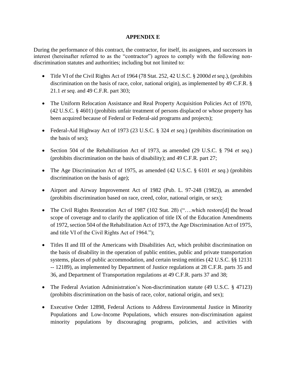#### **APPENDIX E**

During the performance of this contract, the contractor, for itself, its assignees, and successors in interest (hereinafter referred to as the "contractor") agrees to comply with the following nondiscrimination statutes and authorities; including but not limited to:

- Title VI of the Civil Rights Act of 1964 (78 Stat. 252, 42 U.S.C. § 2000d *et seq*.), (prohibits discrimination on the basis of race, color, national origin), as implemented by [49 C.F.R. §](http://www.gpo.gov/fdsys/pkg/CFR-2011-title49-vol1/xml/CFR-2011-title49-vol1-part21.xml)  21.1 *[et seq](http://www.gpo.gov/fdsys/pkg/CFR-2011-title49-vol1/xml/CFR-2011-title49-vol1-part21.xml)*. and 49 C.F.R. part 303;
- The Uniform Relocation Assistance and Real Property Acquisition Policies Act of 1970, (42 U.S.C. § 4601) (prohibits unfair treatment of persons displaced or whose property has been acquired because of Federal or Federal-aid programs and projects);
- Federal-Aid Highway Act of 1973 (23 U.S.C. § 324 *et seq*.) (prohibits discrimination on the basis of sex);
- Section 504 of the Rehabilitation Act of 1973, as amended (29 U.S.C. § 794 *et seq*.) (prohibits discrimination on the basis of disability); and 49 C.F.R. part 27;
- The Age Discrimination Act of 1975, as amended (42 U.S.C. § 6101 *et seq*.) (prohibits discrimination on the basis of age);
- Airport and Airway Improvement Act of 1982 (Pub. L. 97-248 (1982)), as amended (prohibits discrimination based on race, creed, color, national origin, or sex);
- The Civil Rights Restoration Act of 1987 [\(102 Stat. 28\)](http://www.gpo.gov/fdsys/pkg/STATUTE-102/pdf/STATUTE-102-Pg28.pdf) ("....which restore[d] the broad scope of coverage and to clarify the application of title IX of the Education Amendments of 1972, section 504 of the Rehabilitation Act of 1973, the Age Discrimination Act of 1975, and title VI of the Civil Rights Act of 1964.");
- Titles II and III of the Americans with Disabilities Act, which prohibit discrimination on the basis of disability in the operation of public entities, public and private transportation systems, places of public accommodation, and certain testing entities (42 U.S.C. §§ 12131 -- 12189), as implemented by Department of Justice regulations at 28 C.F.R. parts 35 and 36, and Department of Transportation regulations at 49 C.F.R. parts 37 and 38;
- The Federal Aviation Administration's Non-discrimination statute (49 U.S.C. § 47123) (prohibits discrimination on the basis of race, color, national origin, and sex);
- Executive Order 12898, Federal Actions to Address Environmental Justice in Minority Populations and Low-Income Populations, which ensures non-discrimination against minority populations by discouraging programs, policies, and activities with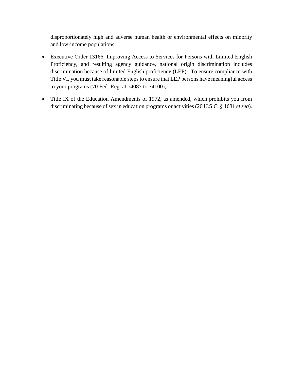disproportionately high and adverse human health or environmental effects on minority and low-income populations;

- Executive Order 13166, Improving Access to Services for Persons with Limited English Proficiency, and resulting agency guidance, national origin discrimination includes discrimination because of limited English proficiency (LEP). To ensure compliance with Title VI, you must take reasonable steps to ensure that LEP persons have meaningful access to your programs (70 Fed. Reg. at 74087 to 74100);
- Title IX of the Education Amendments of 1972, as amended, which prohibits you from discriminating because of sex in education programs or activities (20 U.S.C. § 1681 *et seq*).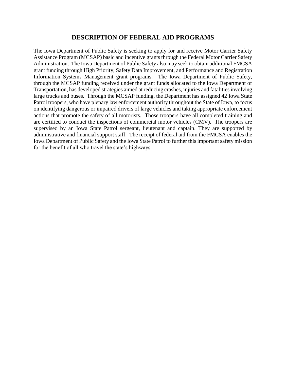#### **DESCRIPTION OF FEDERAL AID PROGRAMS**

The Iowa Department of Public Safety is seeking to apply for and receive Motor Carrier Safety Assistance Program (MCSAP) basic and incentive grants through the Federal Motor Carrier Safety Administration. The Iowa Department of Public Safety also may seek to obtain additional FMCSA grant funding through High Priority, Safety Data Improvement, and Performance and Registration Information Systems Management grant programs. The Iowa Department of Public Safety, through the MCSAP funding received under the grant funds allocated to the Iowa Department of Transportation, has developed strategies aimed at reducing crashes, injuries and fatalities involving large trucks and buses. Through the MCSAP funding, the Department has assigned 42 Iowa State Patrol troopers, who have plenary law enforcement authority throughout the State of Iowa, to focus on identifying dangerous or impaired drivers of large vehicles and taking appropriate enforcement actions that promote the safety of all motorists. Those troopers have all completed training and are certified to conduct the inspections of commercial motor vehicles (CMV). The troopers are supervised by an Iowa State Patrol sergeant, lieutenant and captain. They are supported by administrative and financial support staff. The receipt of federal aid from the FMCSA enables the Iowa Department of Public Safety and the Iowa State Patrol to further this important safety mission for the benefit of all who travel the state's highways.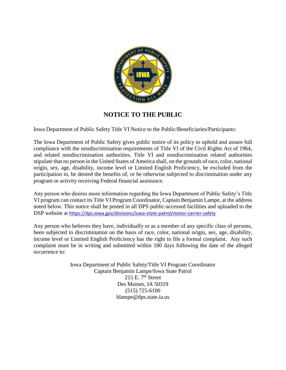

## **NOTICE TO THE PUBLIC**

Iowa Department of Public Safety Title VI Notice to the Public/Beneficiaries/Participants:

The Iowa Department of Public Safety gives public notice of its policy to uphold and assure full compliance with the nondiscrimination requirements of Title VI of the Civil Rights Act of 1964, and related nondiscrimination authorities. Title VI and nondiscrimination related authorities stipulate that no person in the United States of America shall, on the grounds of race, color, national origin, sex, age, disability, income level or Limited English Proficiency, be excluded from the participation in, be denied the benefits of, or be otherwise subjected to discrimination under any program or activity receiving Federal financial assistance.

Any person who desires more information regarding the Iowa Department of Public Safety's Title VI program can contact its Title VI Program Coordinator, Captain Benjamin Lampe, at the address noted below. This notice shall be posted in all DPS public-accessed facilities and uploaded to the DSP website at <https://dps.iowa.gov/divisions/iowa-state-patrol/motor-carrier-safety>

Any person who believes they have, individually or as a member of any specific class of persons, been subjected to discrimination on the basis of race, color, national origin, sex, age, disability, income level or Limited English Proficiency has the right to file a formal complaint. Any such complaint must be in writing and submitted within 180 days following the date of the alleged occurrence to:

> Iowa Department of Public Safety/Title VI Program Coordinator Captain Benjamin Lampe/Iowa State Patrol 215 E.  $7<sup>th</sup>$  Street Des Moines, IA 50319 (515) 725-6100 blampe@dps.state.ia.us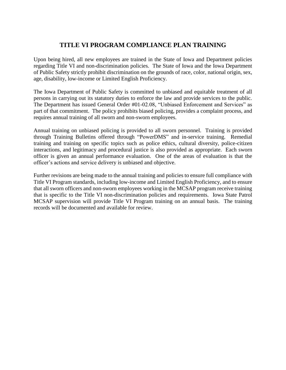## **TITLE VI PROGRAM COMPLIANCE PLAN TRAINING**

Upon being hired, all new employees are trained in the State of Iowa and Department policies regarding Title VI and non-discrimination policies. The State of Iowa and the Iowa Department of Public Safety strictly prohibit discrimination on the grounds of race, color, national origin, sex, age, disability, low-income or Limited English Proficiency.

The Iowa Department of Public Safety is committed to unbiased and equitable treatment of all persons in carrying out its statutory duties to enforce the law and provide services to the public. The Department has issued General Order #01-02.08, "Unbiased Enforcement and Services" as part of that commitment. The policy prohibits biased policing, provides a complaint process, and requires annual training of all sworn and non-sworn employees.

Annual training on unbiased policing is provided to all sworn personnel. Training is provided through Training Bulletins offered through "PowerDMS" and in-service training. Remedial training and training on specific topics such as police ethics, cultural diversity, police-citizen interactions, and legitimacy and procedural justice is also provided as appropriate. Each sworn officer is given an annual performance evaluation. One of the areas of evaluation is that the officer's actions and service delivery is unbiased and objective.

Further revisions are being made to the annual training and policies to ensure full compliance with Title VI Program standards, including low-income and Limited English Proficiency, and to ensure that all sworn officers and non-sworn employees working in the MCSAP program receive training that is specific to the Title VI non-discrimination policies and requirements. Iowa State Patrol MCSAP supervision will provide Title VI Program training on an annual basis. The training records will be documented and available for review.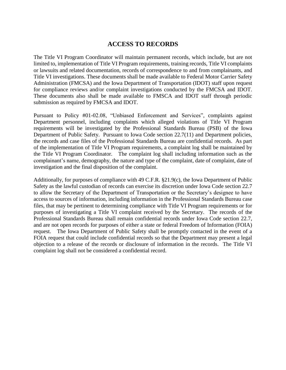### **ACCESS TO RECORDS**

The Title VI Program Coordinator will maintain permanent records, which include, but are not limited to, implementation of Title VI Program requirements, training records, Title VI complaints or lawsuits and related documentation, records of correspondence to and from complainants, and Title VI investigations. These documents shall be made available to Federal Motor Carrier Safety Administration (FMCSA) and the Iowa Department of Transportation (IDOT) staff upon request for compliance reviews and/or complaint investigations conducted by the FMCSA and IDOT. These documents also shall be made available to FMSCA and IDOT staff through periodic submission as required by FMCSA and IDOT.

Pursuant to Policy #01-02.08, "Unbiased Enforcement and Services", complaints against Department personnel, including complaints which alleged violations of Title VI Program requirements will be investigated by the Professional Standards Bureau (PSB) of the Iowa Department of Public Safety. Pursuant to Iowa Code section 22.7(11) and Department policies, the records and case files of the Professional Standards Bureau are confidential records. As part of the implementation of Title VI Program requirements, a complaint log shall be maintained by the Title VI Program Coordinator. The complaint log shall including information such as the complainant's name, demography, the nature and type of the complaint, date of complaint, date of investigation and the final disposition of the complaint.

Additionally, for purposes of compliance with 49 C.F.R. §21.9(c), the Iowa Department of Public Safety as the lawful custodian of records can exercise its discretion under Iowa Code section 22.7 to allow the Secretary of the Department of Transportation or the Secretary's designee to have access to sources of information, including information in the Professional Standards Bureau case files, that may be pertinent to determining compliance with Title VI Program requirements or for purposes of investigating a Title VI complaint received by the Secretary. The records of the Professional Standards Bureau shall remain confidential records under Iowa Code section 22.7, and are not open records for purposes of either a state or federal Freedom of Information (FOIA) request. The Iowa Department of Public Safety shall be promptly contacted in the event of a FOIA request that could include confidential records so that the Department may present a legal objection to a release of the records or disclosure of information in the records. The Title VI complaint log shall not be considered a confidential record.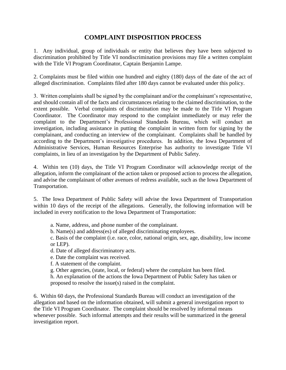## **COMPLAINT DISPOSITION PROCESS**

1. Any individual, group of individuals or entity that believes they have been subjected to discrimination prohibited by Title VI nondiscrimination provisions may file a written complaint with the Title VI Program Coordinator, Captain Benjamin Lampe.

2. Complaints must be filed within one hundred and eighty (180) days of the date of the act of alleged discrimination. Complaints filed after 180 days cannot be evaluated under this policy.

3. Written complaints shall be signed by the complainant and/or the complainant's representative, and should contain all of the facts and circumstances relating to the claimed discrimination, to the extent possible. Verbal complaints of discrimination may be made to the Title VI Program Coordinator. The Coordinator may respond to the complaint immediately or may refer the complaint to the Department's Professional Standards Bureau, which will conduct an investigation, including assistance in putting the complaint in written form for signing by the complainant, and conducting an interview of the complainant. Complaints shall be handled by according to the Department's investigative procedures. In addition, the Iowa Department of Administrative Services, Human Resources Enterprise has authority to investigate Title VI complaints, in lieu of an investigation by the Department of Public Safety.

4. Within ten (10) days, the Title VI Program Coordinator will acknowledge receipt of the allegation, inform the complainant of the action taken or proposed action to process the allegation, and advise the complainant of other avenues of redress available, such as the Iowa Department of Transportation.

5. The Iowa Department of Public Safety will advise the Iowa Department of Transportation within 10 days of the receipt of the allegations. Generally, the following information will be included in every notification to the Iowa Department of Transportation:

- a. Name, address, and phone number of the complainant.
- b. Name(s) and address(es) of alleged discriminating employees.
- c. Basis of the complaint (i.e. race, color, national origin, sex, age, disability, low income or LEP).
- d. Date of alleged discriminatory acts.
- e. Date the complaint was received.
- f. A statement of the complaint.
- g. Other agencies, (state, local, or federal) where the complaint has been filed.
- h. An explanation of the actions the Iowa Department of Public Safety has taken or proposed to resolve the issue(s) raised in the complaint.

6. Within 60 days, the Professional Standards Bureau will conduct an investigation of the allegation and based on the information obtained, will submit a general investigation report to the Title VI Program Coordinator. The complaint should be resolved by informal means whenever possible. Such informal attempts and their results will be summarized in the general investigation report.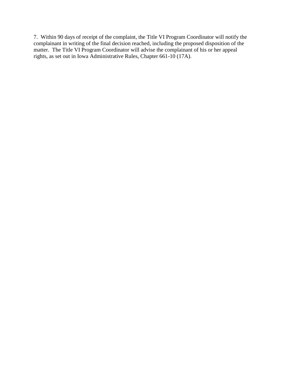7. Within 90 days of receipt of the complaint, the Title VI Program Coordinator will notify the complainant in writing of the final decision reached, including the proposed disposition of the matter. The Title VI Program Coordinator will advise the complainant of his or her appeal rights, as set out in Iowa Administrative Rules, Chapter 661-10 (17A).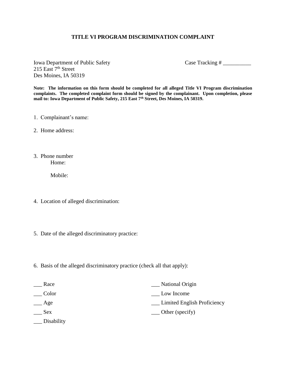#### **TITLE VI PROGRAM DISCRIMINATION COMPLAINT**

Iowa Department of Public Safety Case Tracking # 215 East 7<sup>th</sup> Street Des Moines, IA 50319

**Note: The information on this form should be completed for all alleged Title VI Program discrimination complaints. The completed complaint form should be signed by the complainant. Upon completion, please mail to: Iowa Department of Public Safety, 215 East 7th Street, Des Moines, IA 50319.**

- 1. Complainant's name:
- 2. Home address:
- 3. Phone number Home:

Mobile:

- 4. Location of alleged discrimination:
- 5. Date of the alleged discriminatory practice:
- 6. Basis of the alleged discriminatory practice (check all that apply):

| Race               | National Origin                    |
|--------------------|------------------------------------|
| Color              | Low Income                         |
| <sub>___</sub> Age | <u>Limited English Proficiency</u> |
| <b>Sex</b>         | $\equiv$ Other (specify)           |
| Disability         |                                    |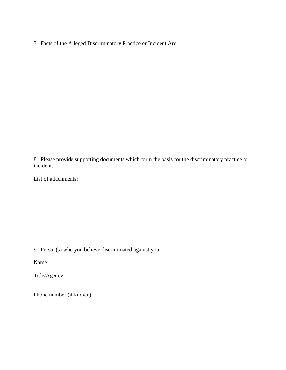7. Facts of the Alleged Discriminatory Practice or Incident Are:

8. Please provide supporting documents which form the basis for the discriminatory practice or incident.

List of attachments:

9. Person(s) who you believe discriminated against you:

Name:

Title/Agency:

Phone number (if known)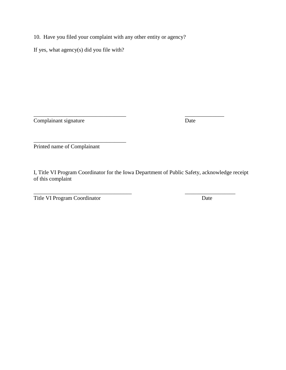10. Have you filed your complaint with any other entity or agency?

If yes, what agency(s) did you file with?

Complainant signature Date

\_\_\_\_\_\_\_\_\_\_\_\_\_\_\_\_\_\_\_\_\_\_\_\_\_\_\_\_\_\_\_\_\_ Printed name of Complainant

I, Title VI Program Coordinator for the Iowa Department of Public Safety, acknowledge receipt of this complaint

\_\_\_\_\_\_\_\_\_\_\_\_\_\_\_\_\_\_\_\_\_\_\_\_\_\_\_\_\_\_\_\_\_\_\_ \_\_\_\_\_\_\_\_\_\_\_\_\_\_\_\_\_\_

\_\_\_\_\_\_\_\_\_\_\_\_\_\_\_\_\_\_\_\_\_\_\_\_\_\_\_\_\_\_\_\_\_ \_\_\_\_\_\_\_\_\_\_\_\_\_\_

Title VI Program Coordinator Date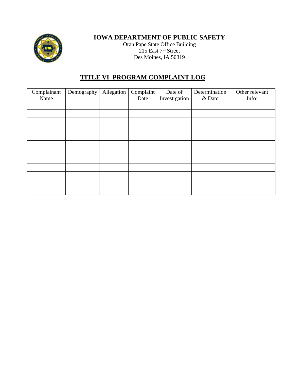

## **IOWA DEPARTMENT OF PUBLIC SAFETY**

Oran Pape State Office Building 215 East 7<sup>th</sup> Street Des Moines, IA 50319

## **TITLE VI PROGRAM COMPLAINT LOG**

| Complainant<br>Name | Demography | Allegation | Complaint<br>Date | Date of<br>Investigation | Determination<br>& Date | Other relevant<br>Info: |
|---------------------|------------|------------|-------------------|--------------------------|-------------------------|-------------------------|
|                     |            |            |                   |                          |                         |                         |
|                     |            |            |                   |                          |                         |                         |
|                     |            |            |                   |                          |                         |                         |
|                     |            |            |                   |                          |                         |                         |
|                     |            |            |                   |                          |                         |                         |
|                     |            |            |                   |                          |                         |                         |
|                     |            |            |                   |                          |                         |                         |
|                     |            |            |                   |                          |                         |                         |
|                     |            |            |                   |                          |                         |                         |
|                     |            |            |                   |                          |                         |                         |
|                     |            |            |                   |                          |                         |                         |
|                     |            |            |                   |                          |                         |                         |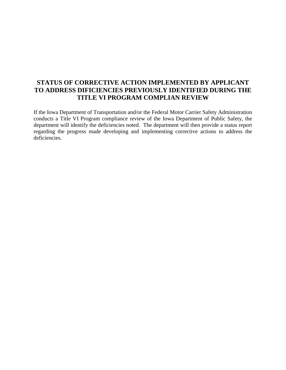## **STATUS OF CORRECTIVE ACTION IMPLEMENTED BY APPLICANT TO ADDRESS DIFICIENCIES PREVIOUSLY IDENTIFIED DURING THE TITLE VI PROGRAM COMPLIAN REVIEW**

If the Iowa Department of Transportation and/or the Federal Motor Carrier Safety Administration conducts a Title VI Program compliance review of the Iowa Department of Public Safety, the department will identify the deficiencies noted. The department will then provide a status report regarding the progress made developing and implementing corrective actions to address the deficiencies.